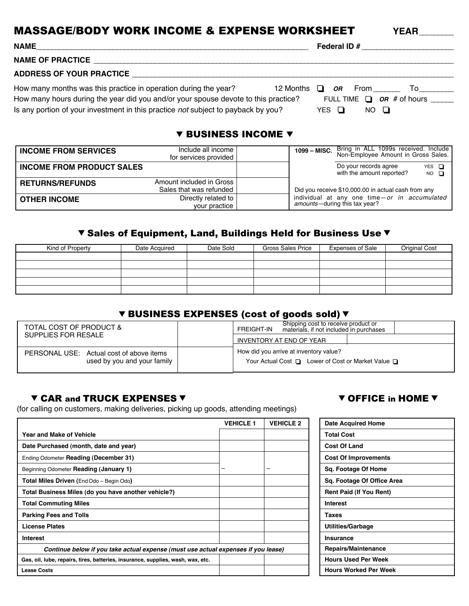# **MASSAGE/BODY WORK INCOME & EXPENSE WORKSHEET** YEAR

| <b>NAME</b>                                                                                                                                                                                                                                | Federal ID # _____________________                                                             |
|--------------------------------------------------------------------------------------------------------------------------------------------------------------------------------------------------------------------------------------------|------------------------------------------------------------------------------------------------|
| <b>NAME OF PRACTICE</b>                                                                                                                                                                                                                    |                                                                                                |
| <b>ADDRESS OF YOUR PRACTICE</b>                                                                                                                                                                                                            |                                                                                                |
| How many months was this practice in operation during the year?<br>How many hours during the year did you and/or your spouse devote to this practice?<br>Is any portion of your investment in this practice not subject to payback by you? | <b>OR</b> From<br>12 Months<br>$\Box$<br>FULL TIME $\Box$ OR # of hours _____<br>YES O<br>NO O |

#### **V BUSINESS INCOME V**

| <b>INCOME FROM SERVICES</b>      | Include all income<br>for services provided         | 1099 - MISC. | Bring in ALL 1099s received. Include<br>Non-Employee Amount in Gross Sales.   |                             |
|----------------------------------|-----------------------------------------------------|--------------|-------------------------------------------------------------------------------|-----------------------------|
| <b>INCOME FROM PRODUCT SALES</b> |                                                     |              | Do your records agree<br>with the amount reported?                            | $YES$ $\Box$<br>$NO$ $\Box$ |
| <b>RETURNS/REFUNDS</b>           | Amount included in Gross<br>Sales that was refunded |              | Did you receive \$10,000.00 in actual cash from any                           |                             |
| I OTHER INCOME                   | Directly related to<br>your practice                |              | individual at any one time-or in accumulated<br>amounts-during this tax year? |                             |

## V Sales of Equipment, Land, Buildings Held for Business Use V

| Kind of Property | Date Acquired | Date Sold | <b>Gross Sales Price</b> | <b>Expenses of Sale</b> | <b>Original Cost</b> |
|------------------|---------------|-----------|--------------------------|-------------------------|----------------------|
|                  |               |           |                          |                         |                      |
|                  |               |           |                          |                         |                      |
|                  |               |           |                          |                         |                      |
|                  |               |           |                          |                         |                      |
|                  |               |           |                          |                         |                      |

### **V BUSINESS EXPENSES (cost of goods sold) V**

| TOTAL COST OF PRODUCT &                  | Shipping cost to receive product or<br>FREIGHT-IN<br>materials, if not included in purchases |
|------------------------------------------|----------------------------------------------------------------------------------------------|
| SUPPLIES FOR RESALE                      | INVENTORY AT END OF YEAR                                                                     |
| PERSONAL USE: Actual cost of above items | How did you arrive at inventory value?                                                       |
| used by you and your family              | Your Actual Cost □ Lower of Cost or Market Value □                                           |
|                                          |                                                                                              |

#### **V CAR and TRUCK EXPENSES V CAR and TRUCK EXPENSES V**

(for calling on customers, making deliveries, picking up goods, attending meetings)

|                                                                                   | <b>VEHICLE 1</b> | <b>VEHICLE 2</b> | <b>Date Acquired Home</b>      |
|-----------------------------------------------------------------------------------|------------------|------------------|--------------------------------|
| <b>Year and Make of Vehicle</b>                                                   |                  |                  | <b>Total Cost</b>              |
| Date Purchased (month, date and year)                                             |                  |                  | <b>Cost Of Land</b>            |
| Ending Odometer Reading (December 31)                                             |                  |                  | <b>Cost Of Improvements</b>    |
| Beginning Odometer Reading (January 1)                                            |                  |                  | Sq. Footage Of Home            |
| <b>Total Miles Driven (End Odo - Begin Odo)</b>                                   |                  |                  | Sq. Footage Of Office Area     |
| Total Business Miles (do you have another vehicle?)                               |                  |                  | <b>Rent Paid (If You Rent)</b> |
| <b>Total Commuting Miles</b>                                                      |                  |                  | <b>Interest</b>                |
| <b>Parking Fees and Tolls</b>                                                     |                  |                  | Taxes                          |
| <b>License Plates</b>                                                             |                  |                  | <b>Utilities/Garbage</b>       |
| Interest                                                                          |                  |                  | Insurance                      |
| Continue below if you take actual expense (must use actual expenses if you lease) |                  |                  | Repairs/Maintenance            |
| Gas, oil, lube, repairs, tires, batteries, insurance, supplies, wash, wax, etc.   |                  |                  | <b>Hours Used Per Week</b>     |
| <b>Lease Costs</b>                                                                |                  |                  | <b>Hours Worked Per Week</b>   |

| <b>Date Acquired Home</b>      |
|--------------------------------|
| <b>Total Cost</b>              |
| <b>Cost Of Land</b>            |
| <b>Cost Of Improvements</b>    |
| Sq. Footage Of Home            |
| Sq. Footage Of Office Area     |
| <b>Rent Paid (If You Rent)</b> |
| <b>Interest</b>                |
| <b>Taxes</b>                   |
| Utilities/Garbage              |
| Insurance                      |
| <b>Repairs/Maintenance</b>     |
| <b>Hours Used Per Week</b>     |
| <b>Hours Worked Per Week</b>   |
|                                |